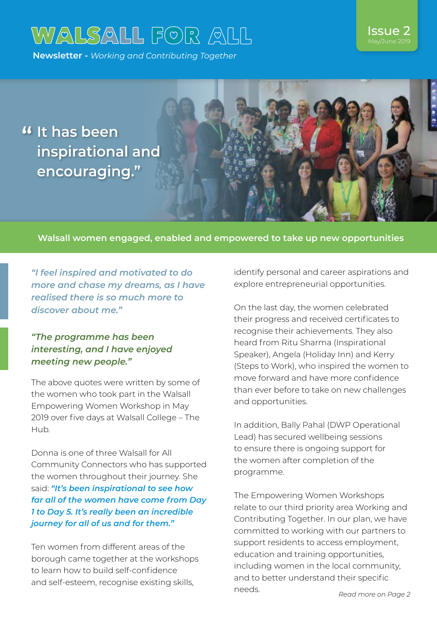# WALSALL FOR ALL

**Newsletter -** *Working and Contributing Together*

## Issue 2

**It has been " inspirational and encouraging."**

#### **Walsall women engaged, enabled and empowered to take up new opportunities**

*"I feel inspired and motivated to do more and chase my dreams, as I have realised there is so much more to discover about me."*

#### *"The programme has been interesting, and I have enjoyed meeting new people."*

The above quotes were written by some of the women who took part in the Walsall Empowering Women Workshop in May 2019 over five days at Walsall College – The Hub.

Donna is one of three Walsall for All Community Connectors who has supported the women throughout their journey. She said: *"It's been inspirational to see how far all of the women have come from Day 1 to Day 5. It's really been an incredible journey for all of us and for them."*

Ten women from different areas of the borough came together at the workshops to learn how to build self-confidence and self-esteem, recognise existing skills,

identify personal and career aspirations and explore entrepreneurial opportunities.

On the last day, the women celebrated their progress and received certificates to recognise their achievements. They also heard from Ritu Sharma (Inspirational Speaker), Angela (Holiday Inn) and Kerry (Steps to Work), who inspired the women to move forward and have more confidence than ever before to take on new challenges and opportunities.

In addition, Bally Pahal (DWP Operational Lead) has secured wellbeing sessions to ensure there is ongoing support for the women after completion of the programme.

The Empowering Women Workshops relate to our third priority area Working and Contributing Together. In our plan, we have committed to working with our partners to support residents to access employment, education and training opportunities, including women in the local community, and to better understand their specific needs.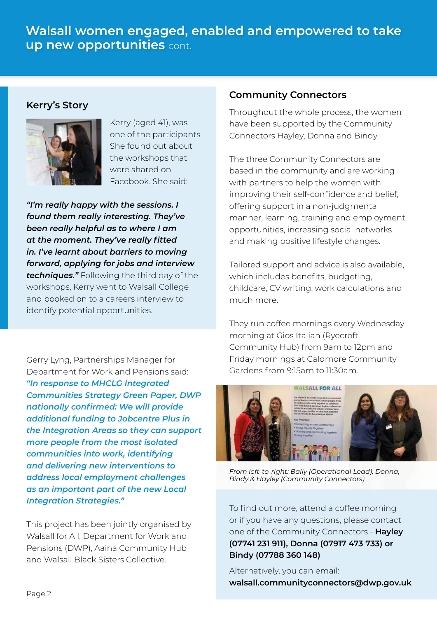### **Walsall women engaged, enabled and empowered to take up new opportunities** cont.



Kerry (aged 41), was one of the participants. She found out about the workshops that were shared on Facebook. She said:

*"I'm really happy with the sessions. I found them really interesting. They've been really helpful as to where I am at the moment. They've really fitted in. I've learnt about barriers to moving forward, applying for jobs and interview techniques."* Following the third day of the workshops, Kerry went to Walsall College and booked on to a careers interview to identify potential opportunities.

Gerry Lyng, Partnerships Manager for Department for Work and Pensions said: *"In response to MHCLG Integrated Communities Strategy Green Paper, DWP nationally confirmed: We will provide additional funding to Jobcentre Plus in the Integration Areas so they can support more people from the most isolated communities into work, identifying and delivering new interventions to address local employment challenges as an important part of the new Local Integration Strategies."*

This project has been jointly organised by Walsall for All, Department for Work and Pensions (DWP), Aaina Community Hub and Walsall Black Sisters Collective.

#### **Community Connectors**

**Kerry's Story** Throughout the whole process, the women have been supported by the Community Connectors Hayley, Donna and Bindy.

> The three Community Connectors are based in the community and are working with partners to help the women with improving their self-confidence and belief, offering support in a non-judgmental manner, learning, training and employment opportunities, increasing social networks and making positive lifestyle changes.

> Tailored support and advice is also available, which includes benefits, budgeting, childcare, CV writing, work calculations and much more.

> They run coffee mornings every Wednesday morning at Gios Italian (Ryecroft Community Hub) from 9am to 12pm and Friday mornings at Caldmore Community Gardens from 9:15am to 11:30am.



*From left-to-right: Bally (Operational Lead), Donna, Bindy & Hayley (Community Connectors)*

To find out more, attend a coffee morning or if you have any questions, please contact one of the Community Connectors - **Hayley (07741 231 911), Donna (07917 473 733) or Bindy (07788 360 148)**

Alternatively, you can email: **walsall.communityconnectors@dwp.gov.uk**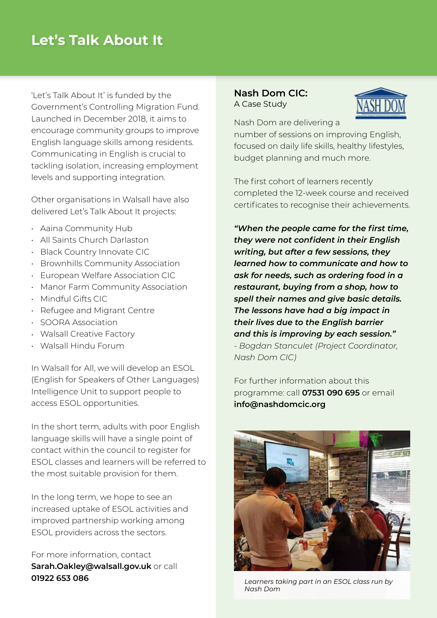## **Let's Talk About It**

'Let's Talk About It' is funded by the Government's Controlling Migration Fund. Launched in December 2018, it aims to encourage community groups to improve English language skills among residents. Communicating in English is crucial to tackling isolation, increasing employment levels and supporting integration.

Other organisations in Walsall have also delivered Let's Talk About It projects:

- Aaina Community Hub •
- All Saints Church Darlaston •
- Black Country Innovate CIC
- Brownhills Community Association
- European Welfare Association CIC
- Manor Farm Community Association •
- Mindful Gifts CIC
- $\,\cdot\,\,$  Refugee and Migrant Centre
- SOORA Association
- Walsall Creative Factory •
- Walsall Hindu Forum •

In Walsall for All, we will develop an ESOL (English for Speakers of Other Languages) Intelligence Unit to support people to access ESOL opportunities.

In the short term, adults with poor English language skills will have a single point of contact within the council to register for ESOL classes and learners will be referred to the most suitable provision for them.

In the long term, we hope to see an increased uptake of ESOL activities and improved partnership working among ESOL providers across the sectors.

For more information, contact **Sarah.Oakley@walsall.gov.uk** or call **01922 653 086**

#### **Nash Dom CIC:** A Case Study



Nash Dom are delivering a

number of sessions on improving English, focused on daily life skills, healthy lifestyles, budget planning and much more.

The first cohort of learners recently completed the 12-week course and received certificates to recognise their achievements.

*"When the people came for the first time, they were not confident in their English writing, but after a few sessions, they learned how to communicate and how to ask for needs, such as ordering food in a restaurant, buying from a shop, how to spell their names and give basic details. The lessons have had a big impact in their lives due to the English barrier and this is improving by each session." - Bogdan Stanculet (Project Coordinator, Nash Dom CIC)*

For further information about this programme: call **07531 090 695** or email **info@nashdomcic.org**



*Learners taking part in an ESOL class run by Nash Dom*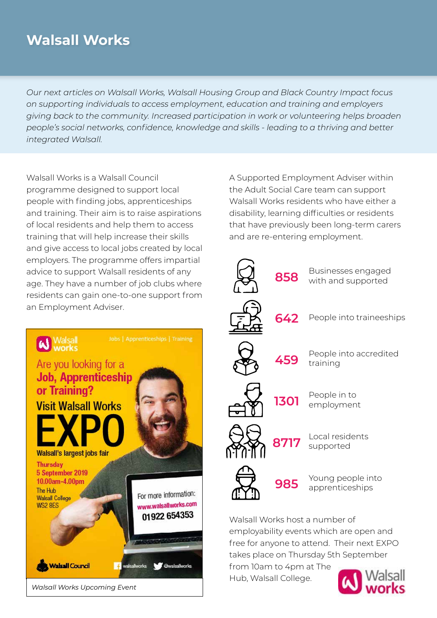## **Walsall Works**

*Our next articles on Walsall Works, Walsall Housing Group and Black Country Impact focus on supporting individuals to access employment, education and training and employers giving back to the community. Increased participation in work or volunteering helps broaden people's social networks, confidence, knowledge and skills - leading to a thriving and better integrated Walsall.*

Walsall Works is a Walsall Council programme designed to support local people with finding jobs, apprenticeships and training. Their aim is to raise aspirations of local residents and help them to access training that will help increase their skills and give access to local jobs created by local employers. The programme offers impartial advice to support Walsall residents of any age. They have a number of job clubs where residents can gain one-to-one support from an Employment Adviser.



A Supported Employment Adviser within the Adult Social Care team can support Walsall Works residents who have either a disability, learning difficulties or residents that have previously been long-term carers and are re-entering employment.



free for anyone to attend. Their next EXPO takes place on Thursday 5th September

from 10am to 4pm at The Hub, Walsall College.

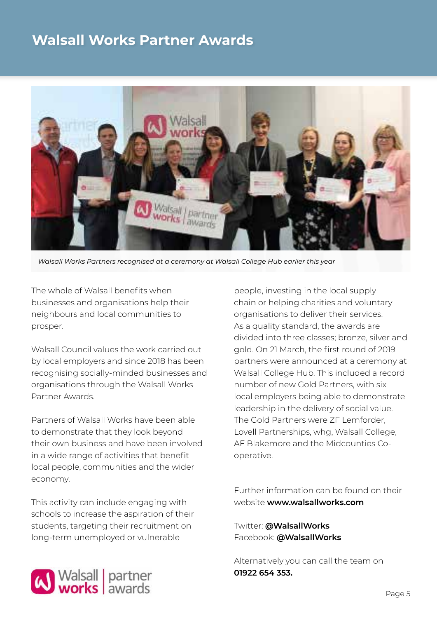## **Walsall Works Partner Awards**



*Walsall Works Partners recognised at a ceremony at Walsall College Hub earlier this year*

The whole of Walsall benefits when businesses and organisations help their neighbours and local communities to prosper.

Walsall Council values the work carried out by local employers and since 2018 has been recognising socially-minded businesses and organisations through the Walsall Works Partner Awards.

Partners of Walsall Works have been able to demonstrate that they look beyond their own business and have been involved in a wide range of activities that benefit local people, communities and the wider economy.

This activity can include engaging with schools to increase the aspiration of their students, targeting their recruitment on long-term unemployed or vulnerable

people, investing in the local supply chain or helping charities and voluntary organisations to deliver their services. As a quality standard, the awards are divided into three classes; bronze, silver and gold. On 21 March, the first round of 2019 partners were announced at a ceremony at Walsall College Hub. This included a record number of new Gold Partners, with six local employers being able to demonstrate leadership in the delivery of social value. The Gold Partners were ZF Lemforder, Lovell Partnerships, whg, Walsall College, AF Blakemore and the Midcounties Cooperative.

Further information can be found on their website **www.walsallworks.com**

Twitter: **@WalsallWorks** Facebook: **@WalsallWorks**

Alternatively you can call the team on **01922 654 353.**

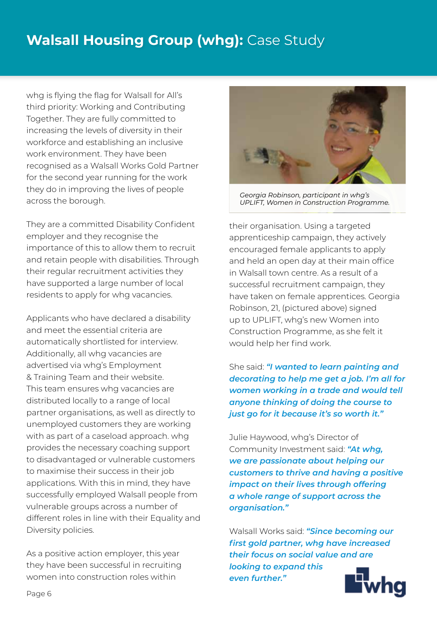## **Walsall Housing Group (whg):** Case Study

whg is flying the flag for Walsall for All's third priority: Working and Contributing Together. They are fully committed to increasing the levels of diversity in their workforce and establishing an inclusive work environment. They have been recognised as a Walsall Works Gold Partner for the second year running for the work they do in improving the lives of people across the borough.

They are a committed Disability Confident employer and they recognise the importance of this to allow them to recruit and retain people with disabilities. Through their regular recruitment activities they have supported a large number of local residents to apply for whg vacancies.

Applicants who have declared a disability and meet the essential criteria are automatically shortlisted for interview. Additionally, all whg vacancies are advertised via whg's Employment & Training Team and their website. This team ensures whg vacancies are distributed locally to a range of local partner organisations, as well as directly to unemployed customers they are working with as part of a caseload approach. whg provides the necessary coaching support to disadvantaged or vulnerable customers to maximise their success in their job applications. With this in mind, they have successfully employed Walsall people from vulnerable groups across a number of different roles in line with their Equality and Diversity policies.

As a positive action employer, this year they have been successful in recruiting women into construction roles within



*Georgia Robinson, participant in whg's UPLIFT, Women in Construction Programme.*

their organisation. Using a targeted apprenticeship campaign, they actively encouraged female applicants to apply and held an open day at their main office in Walsall town centre. As a result of a successful recruitment campaign, they have taken on female apprentices. Georgia Robinson, 21, (pictured above) signed up to UPLIFT, whg's new Women into Construction Programme, as she felt it would help her find work.

She said: *"I wanted to learn painting and decorating to help me get a job. I'm all for women working in a trade and would tell anyone thinking of doing the course to just go for it because it's so worth it."*

Julie Haywood, whg's Director of Community Investment said: *"At whg, we are passionate about helping our customers to thrive and having a positive impact on their lives through offering a whole range of support across the organisation."*

Walsall Works said: *"Since becoming our first gold partner, whg have increased their focus on social value and are* 

*looking to expand this even further."* 

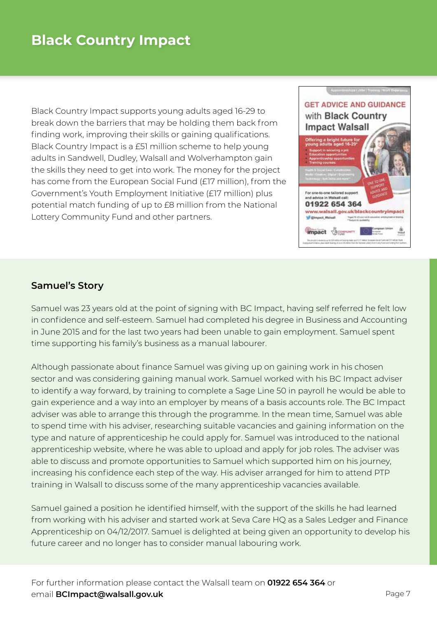Black Country Impact supports young adults aged 16-29 to break down the barriers that may be holding them back from finding work, improving their skills or gaining qualifications. Black Country Impact is a £51 million scheme to help young adults in Sandwell, Dudley, Walsall and Wolverhampton gain the skills they need to get into work. The money for the project has come from the European Social Fund (£17 million), from the Government's Youth Employment Initiative (£17 million) plus potential match funding of up to £8 million from the National Lottery Community Fund and other partners.



#### **Samuel's Story**

Samuel was 23 years old at the point of signing with BC Impact, having self referred he felt low in confidence and self-esteem. Samuel had completed his degree in Business and Accounting in June 2015 and for the last two years had been unable to gain employment. Samuel spent time supporting his family's business as a manual labourer.

Although passionate about finance Samuel was giving up on gaining work in his chosen sector and was considering gaining manual work. Samuel worked with his BC Impact adviser to identify a way forward, by training to complete a Sage Line 50 in payroll he would be able to gain experience and a way into an employer by means of a basis accounts role. The BC Impact adviser was able to arrange this through the programme. In the mean time, Samuel was able to spend time with his adviser, researching suitable vacancies and gaining information on the type and nature of apprenticeship he could apply for. Samuel was introduced to the national apprenticeship website, where he was able to upload and apply for job roles. The adviser was able to discuss and promote opportunities to Samuel which supported him on his journey, increasing his confidence each step of the way. His adviser arranged for him to attend PTP training in Walsall to discuss some of the many apprenticeship vacancies available.

Samuel gained a position he identified himself, with the support of the skills he had learned from working with his adviser and started work at Seva Care HQ as a Sales Ledger and Finance Apprenticeship on 04/12/2017. Samuel is delighted at being given an opportunity to develop his future career and no longer has to consider manual labouring work.